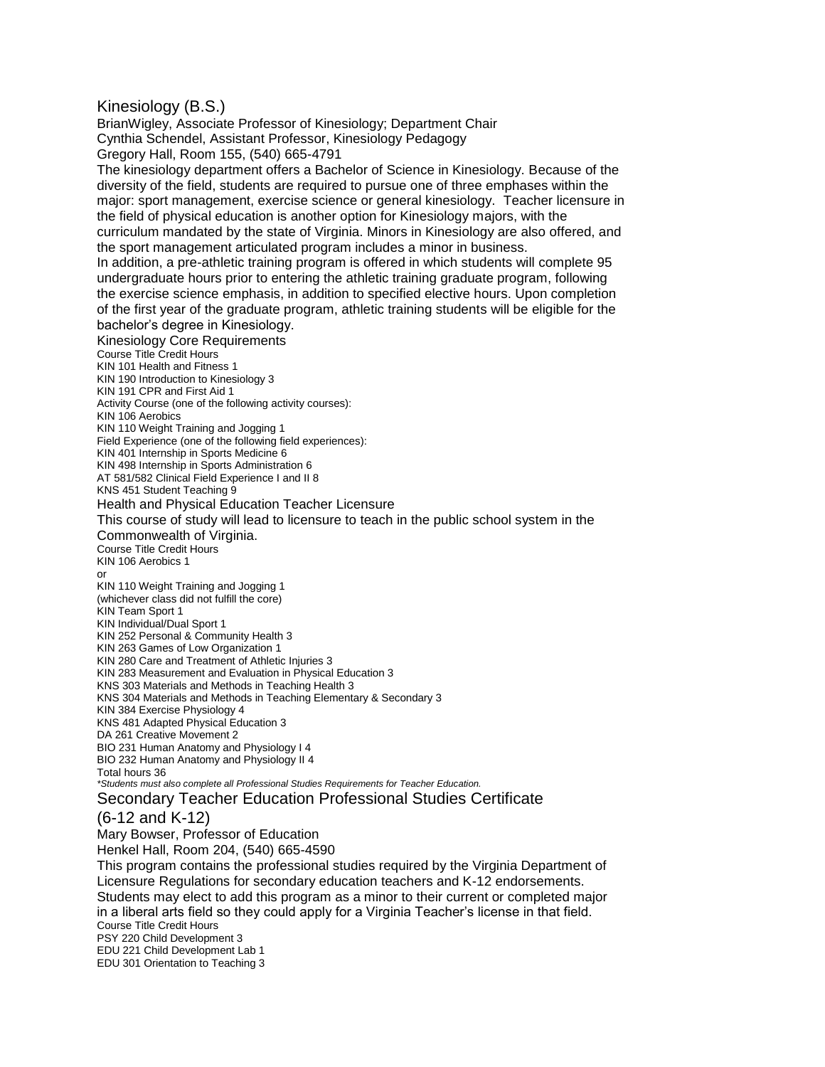## Kinesiology (B.S.)

BrianWigley, Associate Professor of Kinesiology; Department Chair Cynthia Schendel, Assistant Professor, Kinesiology Pedagogy Gregory Hall, Room 155, (540) 665-4791

The kinesiology department offers a Bachelor of Science in Kinesiology. Because of the diversity of the field, students are required to pursue one of three emphases within the major: sport management, exercise science or general kinesiology. Teacher licensure in the field of physical education is another option for Kinesiology majors, with the

curriculum mandated by the state of Virginia. Minors in Kinesiology are also offered, and the sport management articulated program includes a minor in business.

In addition, a pre-athletic training program is offered in which students will complete 95 undergraduate hours prior to entering the athletic training graduate program, following the exercise science emphasis, in addition to specified elective hours. Upon completion of the first year of the graduate program, athletic training students will be eligible for the bachelor's degree in Kinesiology.

Kinesiology Core Requirements Course Title Credit Hours KIN 101 Health and Fitness 1 KIN 190 Introduction to Kinesiology 3 KIN 191 CPR and First Aid 1 Activity Course (one of the following activity courses): KIN 106 Aerobics KIN 110 Weight Training and Jogging 1 Field Experience (one of the following field experiences): KIN 401 Internship in Sports Medicine 6 KIN 498 Internship in Sports Administration 6 AT 581/582 Clinical Field Experience I and II 8 KNS 451 Student Teaching 9 Health and Physical Education Teacher Licensure This course of study will lead to licensure to teach in the public school system in the Commonwealth of Virginia. Course Title Credit Hours KIN 106 Aerobics 1 or KIN 110 Weight Training and Jogging 1 (whichever class did not fulfill the core) KIN Team Sport 1 KIN Individual/Dual Sport 1 KIN 252 Personal & Community Health 3 KIN 263 Games of Low Organization 1 KIN 280 Care and Treatment of Athletic Injuries 3 KIN 283 Measurement and Evaluation in Physical Education 3 KNS 303 Materials and Methods in Teaching Health 3 KNS 304 Materials and Methods in Teaching Elementary & Secondary 3 KIN 384 Exercise Physiology 4 KNS 481 Adapted Physical Education 3 DA 261 Creative Movement 2 BIO 231 Human Anatomy and Physiology I 4 BIO 232 Human Anatomy and Physiology II 4 Total hours 36 *\*Students must also complete all Professional Studies Requirements for Teacher Education.*

## Secondary Teacher Education Professional Studies Certificate

## (6-12 and K-12)

Mary Bowser, Professor of Education Henkel Hall, Room 204, (540) 665-4590 This program contains the professional studies required by the Virginia Department of Licensure Regulations for secondary education teachers and K-12 endorsements. Students may elect to add this program as a minor to their current or completed major in a liberal arts field so they could apply for a Virginia Teacher's license in that field.

Course Title Credit Hours

PSY 220 Child Development 3 EDU 221 Child Development Lab 1

EDU 301 Orientation to Teaching 3